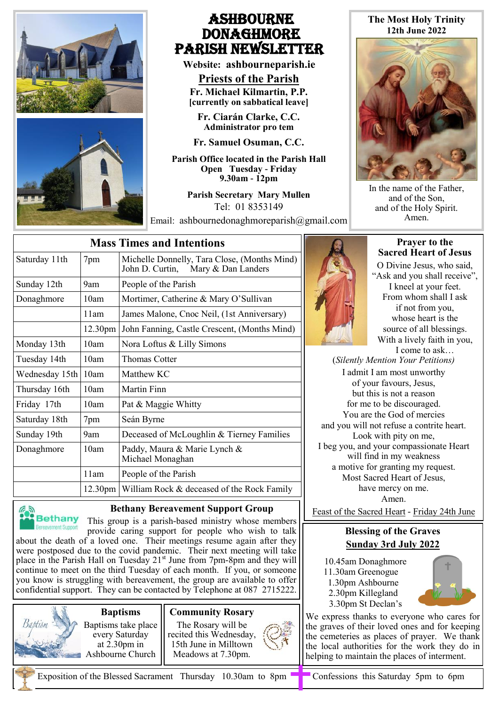

## Ashbourne **DONAGHMORE** Parish NEWSLETTER

**Website: ashbourneparish.ie**

**Priests of the Parish Fr. Michael Kilmartin, P.P. [currently on sabbatical leave]**

**Fr. Ciarán Clarke, C.C. Administrator pro tem**

**Fr. Samuel Osuman, C.C.**

**Parish Office located in the Parish Hall Open Tuesday - Friday 9.30am - 12pm**

> **Parish Secretary Mary Mullen** Tel: 01 8353149

Email: ashbournedonaghmoreparish@gmail.com

## **The Most Holy Trinity 12th June 2022**



In the name of the Father, and of the Son, and of the Holy Spirit. Amen.

| <b>Mass Times and Intentions</b> |                     |                                                                                       |
|----------------------------------|---------------------|---------------------------------------------------------------------------------------|
| Saturday 11th                    | 7pm                 | Michelle Donnelly, Tara Close, (Months Mind)<br>Mary & Dan Landers<br>John D. Curtin, |
| Sunday 12th                      | 9am                 | People of the Parish                                                                  |
| Donaghmore                       | 10am                | Mortimer, Catherine & Mary O'Sullivan                                                 |
|                                  | 11am                | James Malone, Cnoc Neil, (1st Anniversary)                                            |
|                                  | 12.30 <sub>pm</sub> | John Fanning, Castle Crescent, (Months Mind)                                          |
| Monday 13th                      | 10am                | Nora Loftus & Lilly Simons                                                            |
| Tuesday 14th                     | 10am                | Thomas Cotter                                                                         |
| Wednesday 15th                   | 10am                | Matthew KC                                                                            |
| Thursday 16th                    | 10am                | Martin Finn                                                                           |
| Friday 17th                      | 10am                | Pat & Maggie Whitty                                                                   |
| Saturday 18th                    | 7pm                 | Seán Byrne                                                                            |
| Sunday 19th                      | 9am                 | Deceased of McLoughlin & Tierney Families                                             |
| Donaghmore                       | 10am                | Paddy, Maura & Marie Lynch &<br>Michael Monaghan                                      |
|                                  | 11am                | People of the Parish                                                                  |
|                                  |                     | 12.30pm   William Rock & deceased of the Rock Family                                  |



## **Bethany Bereavement Support Group**

This group is a parish-based ministry whose members provide caring support for people who wish to talk about the death of a loved one. Their meetings resume again after they were postposed due to the covid pandemic. Their next meeting will take place in the Parish Hall on Tuesday  $21<sup>st</sup>$  June from 7pm-8pm and they will continue to meet on the third Tuesday of each month. If you, or someone you know is struggling with bereavement, the group are available to offer confidential support. They can be contacted by Telephone at 087 2715222.



**Baptisms**  Baptisms take place every Saturday at 2.30pm in Ashbourne Church





**Prayer to the Sacred Heart of Jesus**

O Divine Jesus, who said, "Ask and you shall receive", I kneel at your feet. From whom shall I ask if not from you, whose heart is the source of all blessings. With a lively faith in you, I come to ask…

(*Silently Mention Your Petitions)* I admit I am most unworthy of your favours, Jesus, but this is not a reason for me to be discouraged. You are the God of mercies and you will not refuse a contrite heart. Look with pity on me, I beg you, and your compassionate Heart will find in my weakness a motive for granting my request. Most Sacred Heart of Jesus, have mercy on me. Amen.

Feast of the Sacred Heart - Friday 24th June

## **Blessing of the Graves Sunday 3rd July 2022**

 10.45am Donaghmore 11.30am Greenogue

- 1.30pm Ashbourne
- 2.30pm Killegland 3.30pm St Declan's
- 

We express thanks to everyone who cares for the graves of their loved ones and for keeping the cemeteries as places of prayer. We thank the local authorities for the work they do in helping to maintain the places of interment.

Exposition of the Blessed Sacrament Thursday 10.30am to 8pm  $\Box$  Confessions this Saturday 5pm to 6pm